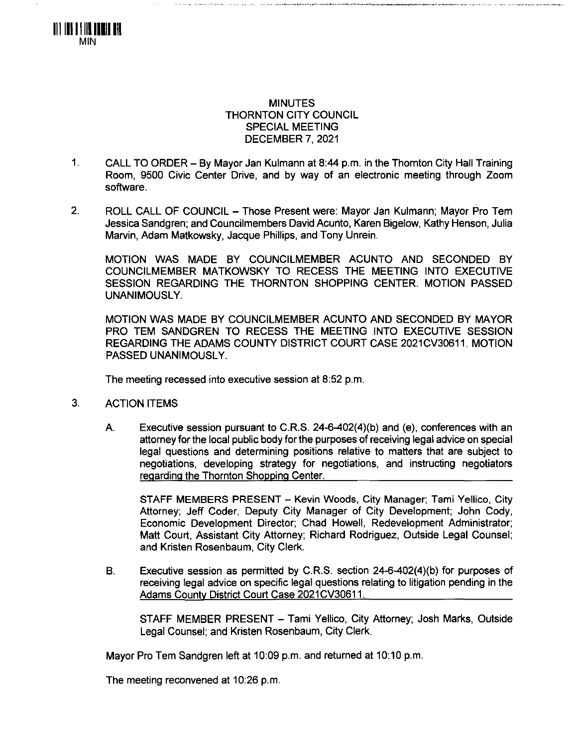

## MINUTES THORNTON CITY COUNCIL SPECIAL MEETING DECEMBER 7, 2021

- 1. CALL TO ORDER By Mayor Jan Kulmann at 8:44 p.m. in the Thornton City Hall Training Room, 9500 Civic Center Drive, and by way of an electronic meeting through Zoom software.
- 2. ROLL CALL OF COUNCIL Those Present were: Mayor Jan Kulmann; Mayor Pro Tem Jessica Sandgren; and Councilmembers David Acunto, Karen Bigelow, Kathy Henson, Julia Marvin, Adam Matkowsky, Jacque Phillips, and Tony Unrein.

MOTION WAS MADE BY COUNCILMEMBER ACUNTO AND SECONDED BY COUNCILMEMBER MATKOWSKY TO RECESS THE MEETING INTO EXECUTIVE SESSION REGARDING THE THORNTON SHOPPING CENTER. MOTION PASSED UNANIMOUSLY.

MOTION WAS MADE BY COUNCILMEMBER ACUNTO AND SECONDED BY MAYOR PRO TEM SANDGREN TO RECESS THE MEETING INTO EXECUTIVE SESSION REGARDING THE ADAMS COUNTY DISTRICT COURT CASE 2021CV30611. MOTION PASSED UNANIMOUSLY.

The meeting recessed into executive session at 8:52 p.m.

- 3. ACTION ITEMS
	- A. Executive session pursuant to C.R.S. 24-6-402{4)(b) and (e), conferences with an attorney for the local public body for the purposes of receiving legal advice on special legal questions and determining positions relative to matters that are subject to negotiations, developing strategy for negotiations, and instructing negotiators regarding the Thornton Shopping Center.

STAFF MEMBERS PRESENT - Kevin Woods, City Manager; Tami Yellico, City Attorney; Jeff Coder, Deputy City Manager of City Development; John Cody, Economic Development Director; Chad Howell, Redevelopment Administrator; Matt Court, Assistant City Attorney; Richard Rodriguez, Outside Legal Counsel; and Kristen Rosenbaum, City Clerk.

B. Executive session as permitted by C.R.S. section 24-6-402(4)(b) for purposes of receiving legal advice on specific legal questions relating to litigation pending in the Adams County District Court Case 2021CV30611.

STAFF MEMBER PRESENT - Tami Yellico, City Attorney; Josh Marks, Outside Legal Counsel; and Kristen Rosenbaum, City Clerk.

Mayor Pro Tem Sandgren left at 10:09 p.m. and returned at 10:10 p.m.

The meeting reconvened at 10:26 p.m.